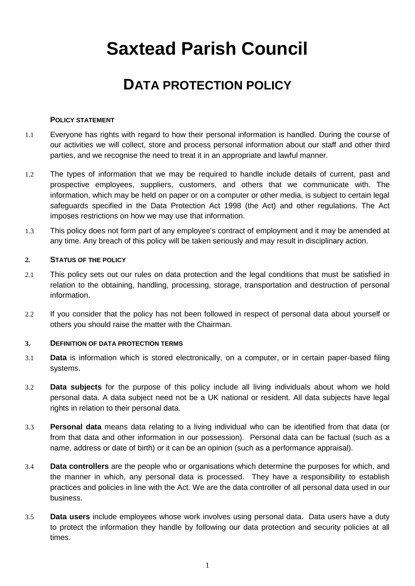# **Saxtead Parish Council**

## **DATA PROTECTION POLICY**

#### **POLICY STATEMENT**

- 1.1 Everyone has rights with regard to how their personal information is handled. During the course of our activities we will collect, store and process personal information about our staff and other third parties, and we recognise the need to treat it in an appropriate and lawful manner.
- 1.2 The types of information that we may be required to handle include details of current, past and prospective employees, suppliers, customers, and others that we communicate with. The information, which may be held on paper or on a computer or other media, is subject to certain legal safeguards specified in the Data Protection Act 1998 (the Act) and other regulations. The Act imposes restrictions on how we may use that information.
- 1.3 This policy does not form part of any employee's contract of employment and it may be amended at any time. Any breach of this policy will be taken seriously and may result in disciplinary action.

#### **2. STATUS OF THE POLICY**

- 2.1 This policy sets out our rules on data protection and the legal conditions that must be satisfied in relation to the obtaining, handling, processing, storage, transportation and destruction of personal information.
- 2.2 If you consider that the policy has not been followed in respect of personal data about yourself or others you should raise the matter with the Chairman.

#### **3. DEFINITION OF DATA PROTECTION TERMS**

- 3.1 **Data** is information which is stored electronically, on a computer, or in certain paper-based filing systems.
- 3.2 **Data subjects** for the purpose of this policy include all living individuals about whom we hold personal data. A data subject need not be a UK national or resident. All data subjects have legal rights in relation to their personal data.
- 3.3 **Personal data** means data relating to a living individual who can be identified from that data (or from that data and other information in our possession). Personal data can be factual (such as a name, address or date of birth) or it can be an opinion (such as a performance appraisal).
- 3.4 **Data controllers** are the people who or organisations which determine the purposes for which, and the manner in which, any personal data is processed. They have a responsibility to establish practices and policies in line with the Act. We are the data controller of all personal data used in our business.
- 3.5 **Data users** include employees whose work involves using personal data. Data users have a duty to protect the information they handle by following our data protection and security policies at all times.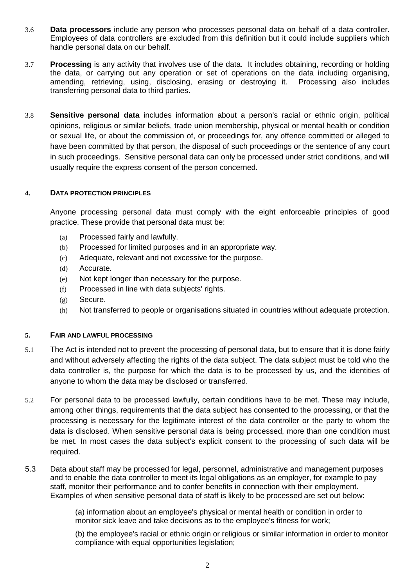- 3.6 **Data processors** include any person who processes personal data on behalf of a data controller. Employees of data controllers are excluded from this definition but it could include suppliers which handle personal data on our behalf.
- 3.7 **Processing** is any activity that involves use of the data. It includes obtaining, recording or holding the data, or carrying out any operation or set of operations on the data including organising, amending, retrieving, using, disclosing, erasing or destroying it. Processing also includes transferring personal data to third parties.
- 3.8 **Sensitive personal data** includes information about a person's racial or ethnic origin, political opinions, religious or similar beliefs, trade union membership, physical or mental health or condition or sexual life, or about the commission of, or proceedings for, any offence committed or alleged to have been committed by that person, the disposal of such proceedings or the sentence of any court in such proceedings. Sensitive personal data can only be processed under strict conditions, and will usually require the express consent of the person concerned.

#### **4. DATA PROTECTION PRINCIPLES**

Anyone processing personal data must comply with the eight enforceable principles of good practice. These provide that personal data must be:

- (a) Processed fairly and lawfully.
- (b) Processed for limited purposes and in an appropriate way.
- (c) Adequate, relevant and not excessive for the purpose.
- (d) Accurate.
- (e) Not kept longer than necessary for the purpose.
- (f) Processed in line with data subjects' rights.
- (g) Secure.
- (h) Not transferred to people or organisations situated in countries without adequate protection.

#### **5. FAIR AND LAWFUL PROCESSING**

- 5.1 The Act is intended not to prevent the processing of personal data, but to ensure that it is done fairly and without adversely affecting the rights of the data subject. The data subject must be told who the data controller is, the purpose for which the data is to be processed by us, and the identities of anyone to whom the data may be disclosed or transferred.
- 5.2 For personal data to be processed lawfully, certain conditions have to be met. These may include, among other things, requirements that the data subject has consented to the processing, or that the processing is necessary for the legitimate interest of the data controller or the party to whom the data is disclosed. When sensitive personal data is being processed, more than one condition must be met. In most cases the data subject's explicit consent to the processing of such data will be required.
- 5.3 Data about staff may be processed for legal, personnel, administrative and management purposes and to enable the data controller to meet its legal obligations as an employer, for example to pay staff, monitor their performance and to confer benefits in connection with their employment. Examples of when sensitive personal data of staff is likely to be processed are set out below:

(a) information about an employee's physical or mental health or condition in order to monitor sick leave and take decisions as to the employee's fitness for work;

(b) the employee's racial or ethnic origin or religious or similar information in order to monitor compliance with equal opportunities legislation;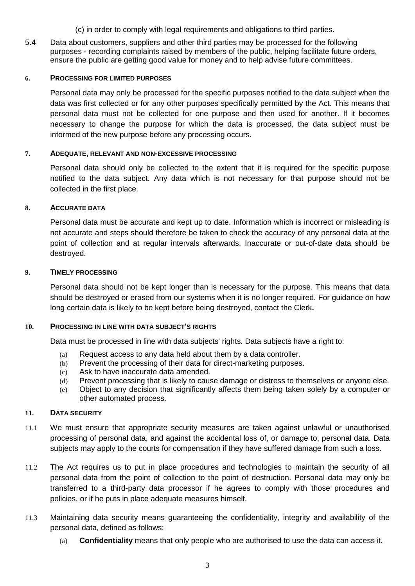(c) in order to comply with legal requirements and obligations to third parties.

5.4 Data about customers, suppliers and other third parties may be processed for the following purposes - recording complaints raised by members of the public, helping facilitate future orders, ensure the public are getting good value for money and to help advise future committees.

#### **6. PROCESSING FOR LIMITED PURPOSES**

Personal data may only be processed for the specific purposes notified to the data subject when the data was first collected or for any other purposes specifically permitted by the Act. This means that personal data must not be collected for one purpose and then used for another. If it becomes necessary to change the purpose for which the data is processed, the data subject must be informed of the new purpose before any processing occurs.

#### **7. ADEQUATE, RELEVANT AND NON-EXCESSIVE PROCESSING**

Personal data should only be collected to the extent that it is required for the specific purpose notified to the data subject. Any data which is not necessary for that purpose should not be collected in the first place.

#### **8. ACCURATE DATA**

Personal data must be accurate and kept up to date. Information which is incorrect or misleading is not accurate and steps should therefore be taken to check the accuracy of any personal data at the point of collection and at regular intervals afterwards. Inaccurate or out-of-date data should be destroyed.

#### **9. TIMELY PROCESSING**

Personal data should not be kept longer than is necessary for the purpose. This means that data should be destroyed or erased from our systems when it is no longer required. For guidance on how long certain data is likely to be kept before being destroyed, contact the Clerk**.**

#### **10. PROCESSING IN LINE WITH DATA SUBJECT'S RIGHTS**

Data must be processed in line with data subjects' rights. Data subjects have a right to:

- (a) Request access to any data held about them by a data controller.
- (b) Prevent the processing of their data for direct-marketing purposes.
- (c) Ask to have inaccurate data amended.
- (d) Prevent processing that is likely to cause damage or distress to themselves or anyone else.
- (e) Object to any decision that significantly affects them being taken solely by a computer or other automated process.

#### **11. DATA SECURITY**

- 11.1 We must ensure that appropriate security measures are taken against unlawful or unauthorised processing of personal data, and against the accidental loss of, or damage to, personal data. Data subjects may apply to the courts for compensation if they have suffered damage from such a loss.
- 11.2 The Act requires us to put in place procedures and technologies to maintain the security of all personal data from the point of collection to the point of destruction. Personal data may only be transferred to a third-party data processor if he agrees to comply with those procedures and policies, or if he puts in place adequate measures himself.
- 11.3 Maintaining data security means guaranteeing the confidentiality, integrity and availability of the personal data, defined as follows:
	- (a) **Confidentiality** means that only people who are authorised to use the data can access it.